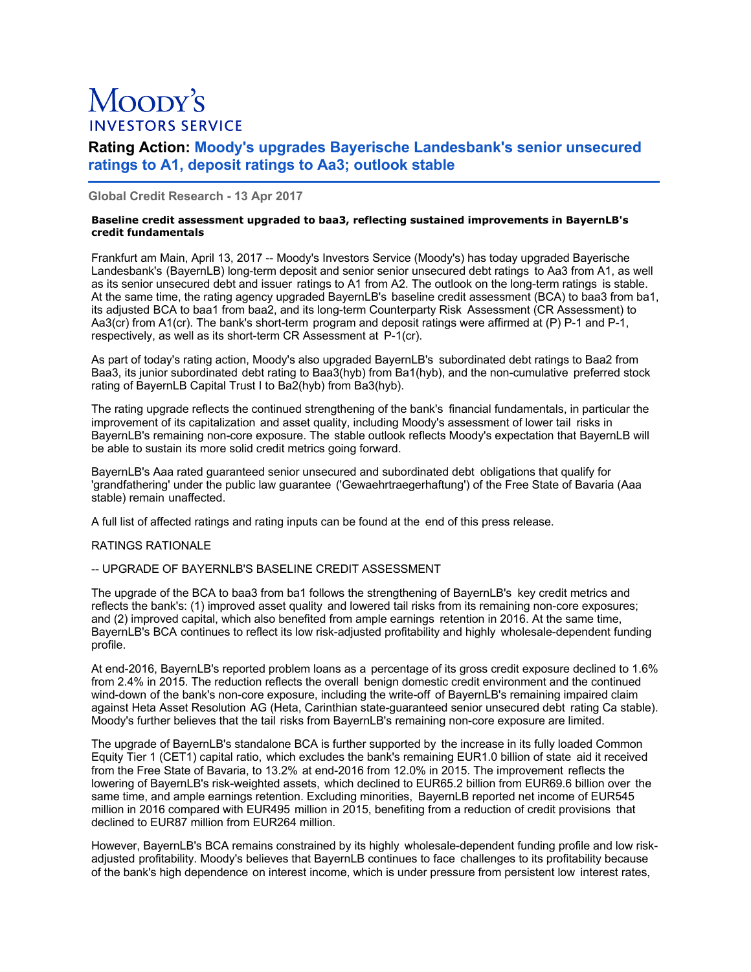# Moopy's **INVESTORS SERVICE**

# **Rating Action: Moody's upgrades Bayerische Landesbank's senior unsecured ratings to A1, deposit ratings to Aa3; outlook stable**

**Global Credit Research - 13 Apr 2017**

#### **Baseline credit assessment upgraded to baa3, reflecting sustained improvements in BayernLB's credit fundamentals**

Frankfurt am Main, April 13, 2017 -- Moody's Investors Service (Moody's) has today upgraded Bayerische Landesbank's (BayernLB) long-term deposit and senior senior unsecured debt ratings to Aa3 from A1, as well as its senior unsecured debt and issuer ratings to A1 from A2. The outlook on the long-term ratings is stable. At the same time, the rating agency upgraded BayernLB's baseline credit assessment (BCA) to baa3 from ba1, its adjusted BCA to baa1 from baa2, and its long-term Counterparty Risk Assessment (CR Assessment) to Aa3(cr) from A1(cr). The bank's short-term program and deposit ratings were affirmed at (P) P-1 and P-1, respectively, as well as its short-term CR Assessment at P-1(cr).

As part of today's rating action, Moody's also upgraded BayernLB's subordinated debt ratings to Baa2 from Baa3, its junior subordinated debt rating to Baa3(hyb) from Ba1(hyb), and the non-cumulative preferred stock rating of BayernLB Capital Trust I to Ba2(hyb) from Ba3(hyb).

The rating upgrade reflects the continued strengthening of the bank's financial fundamentals, in particular the improvement of its capitalization and asset quality, including Moody's assessment of lower tail risks in BayernLB's remaining non-core exposure. The stable outlook reflects Moody's expectation that BayernLB will be able to sustain its more solid credit metrics going forward.

BayernLB's Aaa rated guaranteed senior unsecured and subordinated debt obligations that qualify for 'grandfathering' under the public law guarantee ('Gewaehrtraegerhaftung') of the Free State of Bavaria (Aaa stable) remain unaffected.

A full list of affected ratings and rating inputs can be found at the end of this press release.

## RATINGS RATIONALE

## -- UPGRADE OF BAYERNLB'S BASELINE CREDIT ASSESSMENT

The upgrade of the BCA to baa3 from ba1 follows the strengthening of BayernLB's key credit metrics and reflects the bank's: (1) improved asset quality and lowered tail risks from its remaining non-core exposures; and (2) improved capital, which also benefited from ample earnings retention in 2016. At the same time, BayernLB's BCA continues to reflect its low risk-adjusted profitability and highly wholesale-dependent funding profile.

At end-2016, BayernLB's reported problem loans as a percentage of its gross credit exposure declined to 1.6% from 2.4% in 2015. The reduction reflects the overall benign domestic credit environment and the continued wind-down of the bank's non-core exposure, including the write-off of BayernLB's remaining impaired claim against Heta Asset Resolution AG (Heta, Carinthian state-guaranteed senior unsecured debt rating Ca stable). Moody's further believes that the tail risks from BayernLB's remaining non-core exposure are limited.

The upgrade of BayernLB's standalone BCA is further supported by the increase in its fully loaded Common Equity Tier 1 (CET1) capital ratio, which excludes the bank's remaining EUR1.0 billion of state aid it received from the Free State of Bavaria, to 13.2% at end-2016 from 12.0% in 2015. The improvement reflects the lowering of BayernLB's risk-weighted assets, which declined to EUR65.2 billion from EUR69.6 billion over the same time, and ample earnings retention. Excluding minorities, BayernLB reported net income of EUR545 million in 2016 compared with EUR495 million in 2015, benefiting from a reduction of credit provisions that declined to EUR87 million from EUR264 million.

However, BayernLB's BCA remains constrained by its highly wholesale-dependent funding profile and low riskadjusted profitability. Moody's believes that BayernLB continues to face challenges to its profitability because of the bank's high dependence on interest income, which is under pressure from persistent low interest rates,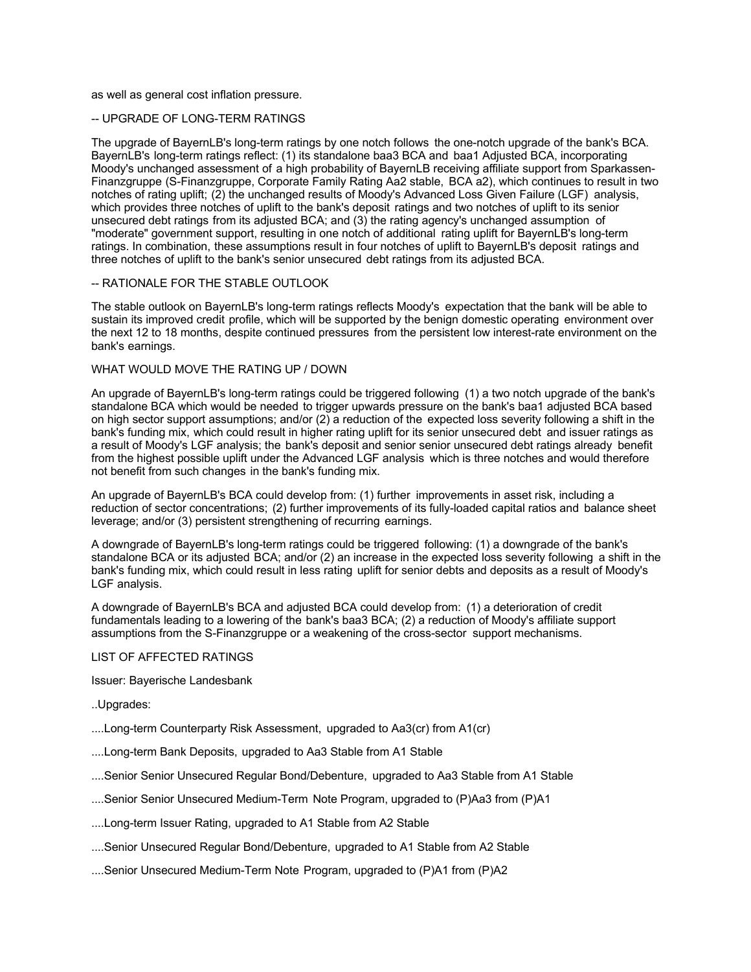as well as general cost inflation pressure.

#### -- UPGRADE OF LONG-TERM RATINGS

The upgrade of BayernLB's long-term ratings by one notch follows the one-notch upgrade of the bank's BCA. BayernLB's long-term ratings reflect: (1) its standalone baa3 BCA and baa1 Adjusted BCA, incorporating Moody's unchanged assessment of a high probability of BayernLB receiving affiliate support from Sparkassen-Finanzgruppe (S-Finanzgruppe, Corporate Family Rating Aa2 stable, BCA a2), which continues to result in two notches of rating uplift; (2) the unchanged results of Moody's Advanced Loss Given Failure (LGF) analysis, which provides three notches of uplift to the bank's deposit ratings and two notches of uplift to its senior unsecured debt ratings from its adjusted BCA; and (3) the rating agency's unchanged assumption of "moderate" government support, resulting in one notch of additional rating uplift for BayernLB's long-term ratings. In combination, these assumptions result in four notches of uplift to BayernLB's deposit ratings and three notches of uplift to the bank's senior unsecured debt ratings from its adjusted BCA.

#### -- RATIONALE FOR THE STABLE OUTLOOK

The stable outlook on BayernLB's long-term ratings reflects Moody's expectation that the bank will be able to sustain its improved credit profile, which will be supported by the benign domestic operating environment over the next 12 to 18 months, despite continued pressures from the persistent low interest-rate environment on the bank's earnings.

#### WHAT WOULD MOVE THE RATING UP / DOWN

An upgrade of BayernLB's long-term ratings could be triggered following (1) a two notch upgrade of the bank's standalone BCA which would be needed to trigger upwards pressure on the bank's baa1 adjusted BCA based on high sector support assumptions; and/or (2) a reduction of the expected loss severity following a shift in the bank's funding mix, which could result in higher rating uplift for its senior unsecured debt and issuer ratings as a result of Moody's LGF analysis; the bank's deposit and senior senior unsecured debt ratings already benefit from the highest possible uplift under the Advanced LGF analysis which is three notches and would therefore not benefit from such changes in the bank's funding mix.

An upgrade of BayernLB's BCA could develop from: (1) further improvements in asset risk, including a reduction of sector concentrations; (2) further improvements of its fully-loaded capital ratios and balance sheet leverage; and/or (3) persistent strengthening of recurring earnings.

A downgrade of BayernLB's long-term ratings could be triggered following: (1) a downgrade of the bank's standalone BCA or its adjusted BCA; and/or (2) an increase in the expected loss severity following a shift in the bank's funding mix, which could result in less rating uplift for senior debts and deposits as a result of Moody's LGF analysis.

A downgrade of BayernLB's BCA and adjusted BCA could develop from: (1) a deterioration of credit fundamentals leading to a lowering of the bank's baa3 BCA; (2) a reduction of Moody's affiliate support assumptions from the S-Finanzgruppe or a weakening of the cross-sector support mechanisms.

#### LIST OF AFFECTED RATINGS

Issuer: Bayerische Landesbank

- ..Upgrades:
- ....Long-term Counterparty Risk Assessment, upgraded to Aa3(cr) from A1(cr)
- ....Long-term Bank Deposits, upgraded to Aa3 Stable from A1 Stable
- ....Senior Senior Unsecured Regular Bond/Debenture, upgraded to Aa3 Stable from A1 Stable
- ....Senior Senior Unsecured Medium-Term Note Program, upgraded to (P)Aa3 from (P)A1
- ....Long-term Issuer Rating, upgraded to A1 Stable from A2 Stable
- ....Senior Unsecured Regular Bond/Debenture, upgraded to A1 Stable from A2 Stable
- ....Senior Unsecured Medium-Term Note Program, upgraded to (P)A1 from (P)A2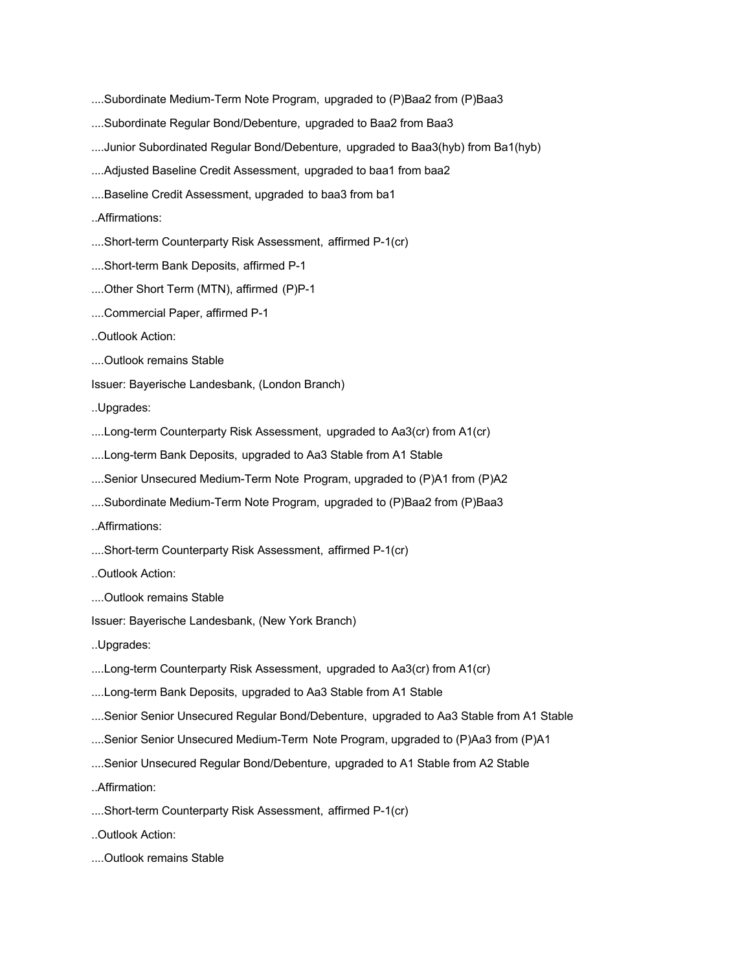- ....Subordinate Medium-Term Note Program, upgraded to (P)Baa2 from (P)Baa3
- ....Subordinate Regular Bond/Debenture, upgraded to Baa2 from Baa3
- ....Junior Subordinated Regular Bond/Debenture, upgraded to Baa3(hyb) from Ba1(hyb)
- ....Adjusted Baseline Credit Assessment, upgraded to baa1 from baa2
- ....Baseline Credit Assessment, upgraded to baa3 from ba1
- ..Affirmations:
- ....Short-term Counterparty Risk Assessment, affirmed P-1(cr)
- ....Short-term Bank Deposits, affirmed P-1
- ....Other Short Term (MTN), affirmed (P)P-1
- ....Commercial Paper, affirmed P-1
- ..Outlook Action:
- ....Outlook remains Stable
- Issuer: Bayerische Landesbank, (London Branch)
- ..Upgrades:
- ....Long-term Counterparty Risk Assessment, upgraded to Aa3(cr) from A1(cr)
- ....Long-term Bank Deposits, upgraded to Aa3 Stable from A1 Stable
- ....Senior Unsecured Medium-Term Note Program, upgraded to (P)A1 from (P)A2
- ....Subordinate Medium-Term Note Program, upgraded to (P)Baa2 from (P)Baa3
- ..Affirmations:
- ....Short-term Counterparty Risk Assessment, affirmed P-1(cr)
- ..Outlook Action:
- ....Outlook remains Stable
- Issuer: Bayerische Landesbank, (New York Branch)
- ..Upgrades:
- ....Long-term Counterparty Risk Assessment, upgraded to Aa3(cr) from A1(cr)
- ....Long-term Bank Deposits, upgraded to Aa3 Stable from A1 Stable
- ....Senior Senior Unsecured Regular Bond/Debenture, upgraded to Aa3 Stable from A1 Stable
- ....Senior Senior Unsecured Medium-Term Note Program, upgraded to (P)Aa3 from (P)A1
- ....Senior Unsecured Regular Bond/Debenture, upgraded to A1 Stable from A2 Stable
- ..Affirmation:
- ....Short-term Counterparty Risk Assessment, affirmed P-1(cr)
- ..Outlook Action:
- ....Outlook remains Stable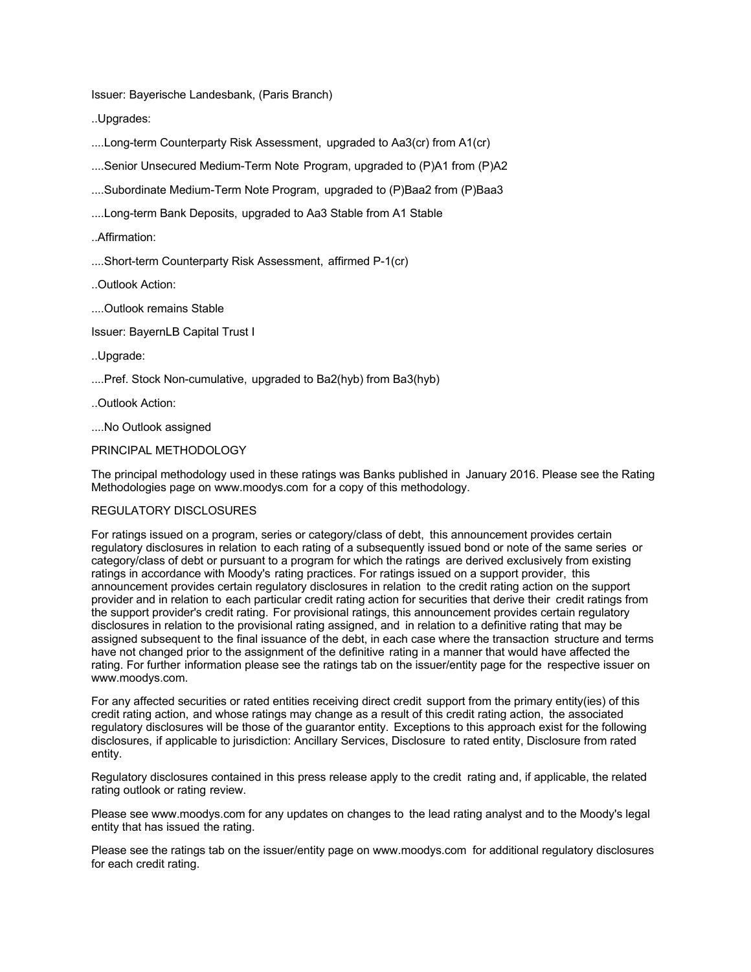Issuer: Bayerische Landesbank, (Paris Branch)

..Upgrades:

....Long-term Counterparty Risk Assessment, upgraded to Aa3(cr) from A1(cr)

....Senior Unsecured Medium-Term Note Program, upgraded to (P)A1 from (P)A2

....Subordinate Medium-Term Note Program, upgraded to (P)Baa2 from (P)Baa3

....Long-term Bank Deposits, upgraded to Aa3 Stable from A1 Stable

..Affirmation:

....Short-term Counterparty Risk Assessment, affirmed P-1(cr)

..Outlook Action:

....Outlook remains Stable

Issuer: BayernLB Capital Trust I

..Upgrade:

....Pref. Stock Non-cumulative, upgraded to Ba2(hyb) from Ba3(hyb)

..Outlook Action:

....No Outlook assigned

#### PRINCIPAL METHODOLOGY

The principal methodology used in these ratings was Banks published in January 2016. Please see the Rating Methodologies page on www.moodys.com for a copy of this methodology.

#### REGULATORY DISCLOSURES

For ratings issued on a program, series or category/class of debt, this announcement provides certain regulatory disclosures in relation to each rating of a subsequently issued bond or note of the same series or category/class of debt or pursuant to a program for which the ratings are derived exclusively from existing ratings in accordance with Moody's rating practices. For ratings issued on a support provider, this announcement provides certain regulatory disclosures in relation to the credit rating action on the support provider and in relation to each particular credit rating action for securities that derive their credit ratings from the support provider's credit rating. For provisional ratings, this announcement provides certain regulatory disclosures in relation to the provisional rating assigned, and in relation to a definitive rating that may be assigned subsequent to the final issuance of the debt, in each case where the transaction structure and terms have not changed prior to the assignment of the definitive rating in a manner that would have affected the rating. For further information please see the ratings tab on the issuer/entity page for the respective issuer on www.moodys.com.

For any affected securities or rated entities receiving direct credit support from the primary entity(ies) of this credit rating action, and whose ratings may change as a result of this credit rating action, the associated regulatory disclosures will be those of the guarantor entity. Exceptions to this approach exist for the following disclosures, if applicable to jurisdiction: Ancillary Services, Disclosure to rated entity, Disclosure from rated entity.

Regulatory disclosures contained in this press release apply to the credit rating and, if applicable, the related rating outlook or rating review.

Please see www.moodys.com for any updates on changes to the lead rating analyst and to the Moody's legal entity that has issued the rating.

Please see the ratings tab on the issuer/entity page on www.moodys.com for additional regulatory disclosures for each credit rating.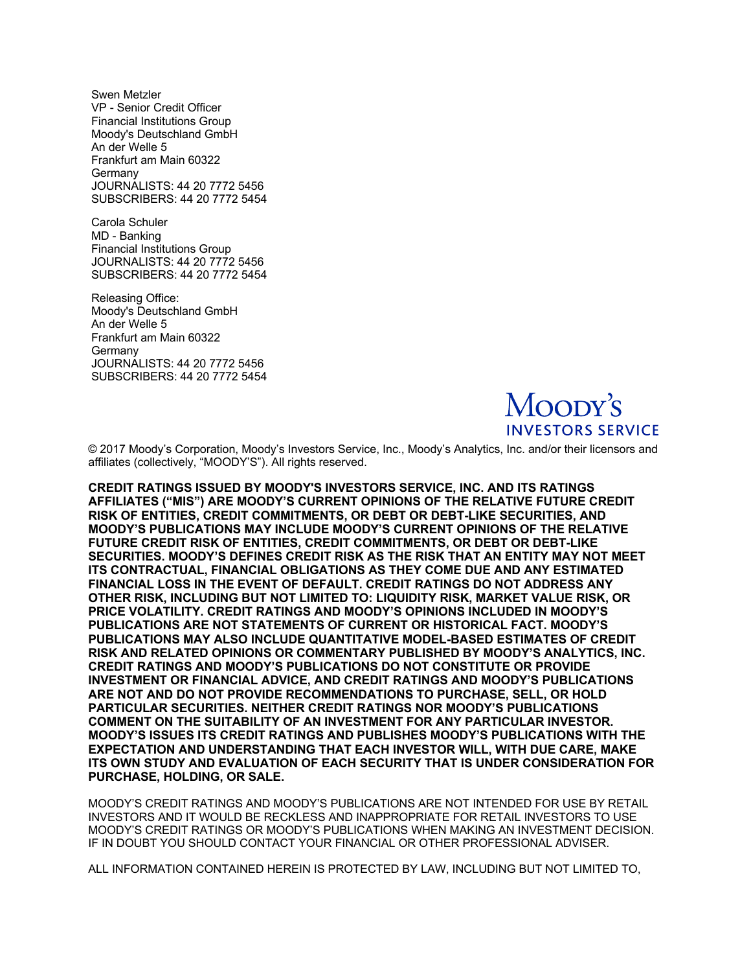Swen Metzler VP - Senior Credit Officer Financial Institutions Group Moody's Deutschland GmbH An der Welle 5 Frankfurt am Main 60322 Germany JOURNALISTS: 44 20 7772 5456 SUBSCRIBERS: 44 20 7772 5454

Carola Schuler MD - Banking Financial Institutions Group JOURNALISTS: 44 20 7772 5456 SUBSCRIBERS: 44 20 7772 5454

Releasing Office: Moody's Deutschland GmbH An der Welle 5 Frankfurt am Main 60322 **Germany** JOURNALISTS: 44 20 7772 5456 SUBSCRIBERS: 44 20 7772 5454



© 2017 Moody's Corporation, Moody's Investors Service, Inc., Moody's Analytics, Inc. and/or their licensors and affiliates (collectively, "MOODY'S"). All rights reserved.

**CREDIT RATINGS ISSUED BY MOODY'S INVESTORS SERVICE, INC. AND ITS RATINGS AFFILIATES ("MIS") ARE MOODY'S CURRENT OPINIONS OF THE RELATIVE FUTURE CREDIT RISK OF ENTITIES, CREDIT COMMITMENTS, OR DEBT OR DEBT-LIKE SECURITIES, AND MOODY'S PUBLICATIONS MAY INCLUDE MOODY'S CURRENT OPINIONS OF THE RELATIVE FUTURE CREDIT RISK OF ENTITIES, CREDIT COMMITMENTS, OR DEBT OR DEBT-LIKE SECURITIES. MOODY'S DEFINES CREDIT RISK AS THE RISK THAT AN ENTITY MAY NOT MEET ITS CONTRACTUAL, FINANCIAL OBLIGATIONS AS THEY COME DUE AND ANY ESTIMATED FINANCIAL LOSS IN THE EVENT OF DEFAULT. CREDIT RATINGS DO NOT ADDRESS ANY OTHER RISK, INCLUDING BUT NOT LIMITED TO: LIQUIDITY RISK, MARKET VALUE RISK, OR PRICE VOLATILITY. CREDIT RATINGS AND MOODY'S OPINIONS INCLUDED IN MOODY'S PUBLICATIONS ARE NOT STATEMENTS OF CURRENT OR HISTORICAL FACT. MOODY'S PUBLICATIONS MAY ALSO INCLUDE QUANTITATIVE MODEL-BASED ESTIMATES OF CREDIT RISK AND RELATED OPINIONS OR COMMENTARY PUBLISHED BY MOODY'S ANALYTICS, INC. CREDIT RATINGS AND MOODY'S PUBLICATIONS DO NOT CONSTITUTE OR PROVIDE INVESTMENT OR FINANCIAL ADVICE, AND CREDIT RATINGS AND MOODY'S PUBLICATIONS ARE NOT AND DO NOT PROVIDE RECOMMENDATIONS TO PURCHASE, SELL, OR HOLD PARTICULAR SECURITIES. NEITHER CREDIT RATINGS NOR MOODY'S PUBLICATIONS COMMENT ON THE SUITABILITY OF AN INVESTMENT FOR ANY PARTICULAR INVESTOR. MOODY'S ISSUES ITS CREDIT RATINGS AND PUBLISHES MOODY'S PUBLICATIONS WITH THE EXPECTATION AND UNDERSTANDING THAT EACH INVESTOR WILL, WITH DUE CARE, MAKE ITS OWN STUDY AND EVALUATION OF EACH SECURITY THAT IS UNDER CONSIDERATION FOR PURCHASE, HOLDING, OR SALE.**

MOODY'S CREDIT RATINGS AND MOODY'S PUBLICATIONS ARE NOT INTENDED FOR USE BY RETAIL INVESTORS AND IT WOULD BE RECKLESS AND INAPPROPRIATE FOR RETAIL INVESTORS TO USE MOODY'S CREDIT RATINGS OR MOODY'S PUBLICATIONS WHEN MAKING AN INVESTMENT DECISION. IF IN DOUBT YOU SHOULD CONTACT YOUR FINANCIAL OR OTHER PROFESSIONAL ADVISER.

ALL INFORMATION CONTAINED HEREIN IS PROTECTED BY LAW, INCLUDING BUT NOT LIMITED TO,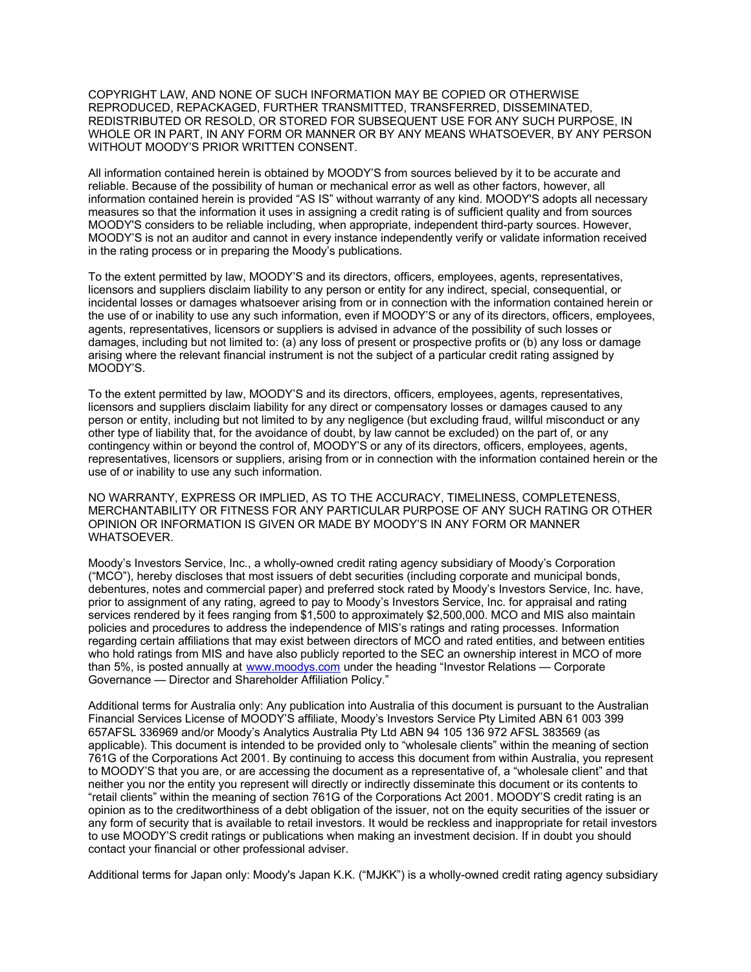COPYRIGHT LAW, AND NONE OF SUCH INFORMATION MAY BE COPIED OR OTHERWISE REPRODUCED, REPACKAGED, FURTHER TRANSMITTED, TRANSFERRED, DISSEMINATED, REDISTRIBUTED OR RESOLD, OR STORED FOR SUBSEQUENT USE FOR ANY SUCH PURPOSE, IN WHOLE OR IN PART, IN ANY FORM OR MANNER OR BY ANY MEANS WHATSOEVER, BY ANY PERSON WITHOUT MOODY'S PRIOR WRITTEN CONSENT.

All information contained herein is obtained by MOODY'S from sources believed by it to be accurate and reliable. Because of the possibility of human or mechanical error as well as other factors, however, all information contained herein is provided "AS IS" without warranty of any kind. MOODY'S adopts all necessary measures so that the information it uses in assigning a credit rating is of sufficient quality and from sources MOODY'S considers to be reliable including, when appropriate, independent third-party sources. However, MOODY'S is not an auditor and cannot in every instance independently verify or validate information received in the rating process or in preparing the Moody's publications.

To the extent permitted by law, MOODY'S and its directors, officers, employees, agents, representatives, licensors and suppliers disclaim liability to any person or entity for any indirect, special, consequential, or incidental losses or damages whatsoever arising from or in connection with the information contained herein or the use of or inability to use any such information, even if MOODY'S or any of its directors, officers, employees, agents, representatives, licensors or suppliers is advised in advance of the possibility of such losses or damages, including but not limited to: (a) any loss of present or prospective profits or (b) any loss or damage arising where the relevant financial instrument is not the subject of a particular credit rating assigned by MOODY'S.

To the extent permitted by law, MOODY'S and its directors, officers, employees, agents, representatives, licensors and suppliers disclaim liability for any direct or compensatory losses or damages caused to any person or entity, including but not limited to by any negligence (but excluding fraud, willful misconduct or any other type of liability that, for the avoidance of doubt, by law cannot be excluded) on the part of, or any contingency within or beyond the control of, MOODY'S or any of its directors, officers, employees, agents, representatives, licensors or suppliers, arising from or in connection with the information contained herein or the use of or inability to use any such information.

NO WARRANTY, EXPRESS OR IMPLIED, AS TO THE ACCURACY, TIMELINESS, COMPLETENESS, MERCHANTABILITY OR FITNESS FOR ANY PARTICULAR PURPOSE OF ANY SUCH RATING OR OTHER OPINION OR INFORMATION IS GIVEN OR MADE BY MOODY'S IN ANY FORM OR MANNER WHATSOEVER.

Moody's Investors Service, Inc., a wholly-owned credit rating agency subsidiary of Moody's Corporation ("MCO"), hereby discloses that most issuers of debt securities (including corporate and municipal bonds, debentures, notes and commercial paper) and preferred stock rated by Moody's Investors Service, Inc. have, prior to assignment of any rating, agreed to pay to Moody's Investors Service, Inc. for appraisal and rating services rendered by it fees ranging from \$1,500 to approximately \$2,500,000. MCO and MIS also maintain policies and procedures to address the independence of MIS's ratings and rating processes. Information regarding certain affiliations that may exist between directors of MCO and rated entities, and between entities who hold ratings from MIS and have also publicly reported to the SEC an ownership interest in MCO of more than 5%, is posted annually at [www.moodys.com](https://www.moodys.com/) under the heading "Investor Relations — Corporate Governance — Director and Shareholder Affiliation Policy."

Additional terms for Australia only: Any publication into Australia of this document is pursuant to the Australian Financial Services License of MOODY'S affiliate, Moody's Investors Service Pty Limited ABN 61 003 399 657AFSL 336969 and/or Moody's Analytics Australia Pty Ltd ABN 94 105 136 972 AFSL 383569 (as applicable). This document is intended to be provided only to "wholesale clients" within the meaning of section 761G of the Corporations Act 2001. By continuing to access this document from within Australia, you represent to MOODY'S that you are, or are accessing the document as a representative of, a "wholesale client" and that neither you nor the entity you represent will directly or indirectly disseminate this document or its contents to "retail clients" within the meaning of section 761G of the Corporations Act 2001. MOODY'S credit rating is an opinion as to the creditworthiness of a debt obligation of the issuer, not on the equity securities of the issuer or any form of security that is available to retail investors. It would be reckless and inappropriate for retail investors to use MOODY'S credit ratings or publications when making an investment decision. If in doubt you should contact your financial or other professional adviser.

Additional terms for Japan only: Moody's Japan K.K. ("MJKK") is a wholly-owned credit rating agency subsidiary